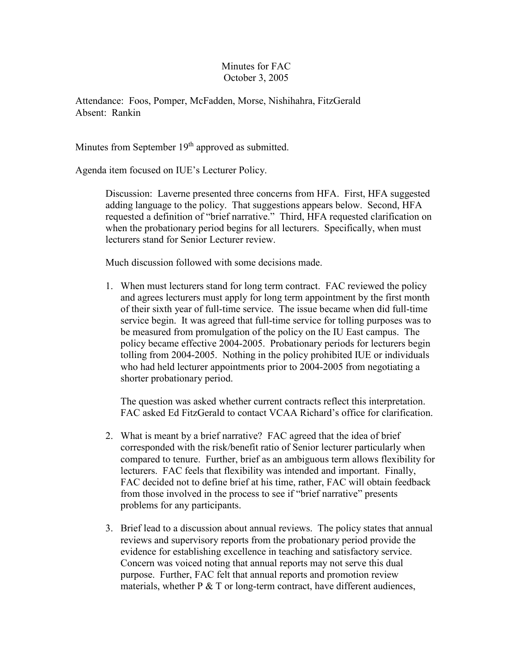## Minutes for FAC October 3, 2005

Attendance: Foos, Pomper, McFadden, Morse, Nishihahra, FitzGerald Absent: Rankin

Minutes from September  $19<sup>th</sup>$  approved as submitted.

Agenda item focused on IUE's Lecturer Policy.

Discussion: Laverne presented three concerns from HFA. First, HFA suggested adding language to the policy. That suggestions appears below. Second, HFA requested a definition of "brief narrative." Third, HFA requested clarification on when the probationary period begins for all lecturers. Specifically, when must lecturers stand for Senior Lecturer review.

Much discussion followed with some decisions made.

1. When must lecturers stand for long term contract. FAC reviewed the policy and agrees lecturers must apply for long term appointment by the first month of their sixth year of full-time service. The issue became when did full-time service begin. It was agreed that full-time service for tolling purposes was to be measured from promulgation of the policy on the IU East campus. The policy became effective 2004-2005. Probationary periods for lecturers begin tolling from 2004-2005. Nothing in the policy prohibited IUE or individuals who had held lecturer appointments prior to 2004-2005 from negotiating a shorter probationary period.

The question was asked whether current contracts reflect this interpretation. FAC asked Ed FitzGerald to contact VCAA Richard's office for clarification.

- 2. What is meant by a brief narrative? FAC agreed that the idea of brief corresponded with the risk/benefit ratio of Senior lecturer particularly when compared to tenure. Further, brief as an ambiguous term allows flexibility for lecturers. FAC feels that flexibility was intended and important. Finally, FAC decided not to define brief at his time, rather, FAC will obtain feedback from those involved in the process to see if "brief narrative" presents problems for any participants.
- 3. Brief lead to a discussion about annual reviews. The policy states that annual reviews and supervisory reports from the probationary period provide the evidence for establishing excellence in teaching and satisfactory service. Concern was voiced noting that annual reports may not serve this dual purpose. Further, FAC felt that annual reports and promotion review materials, whether  $P \& T$  or long-term contract, have different audiences,